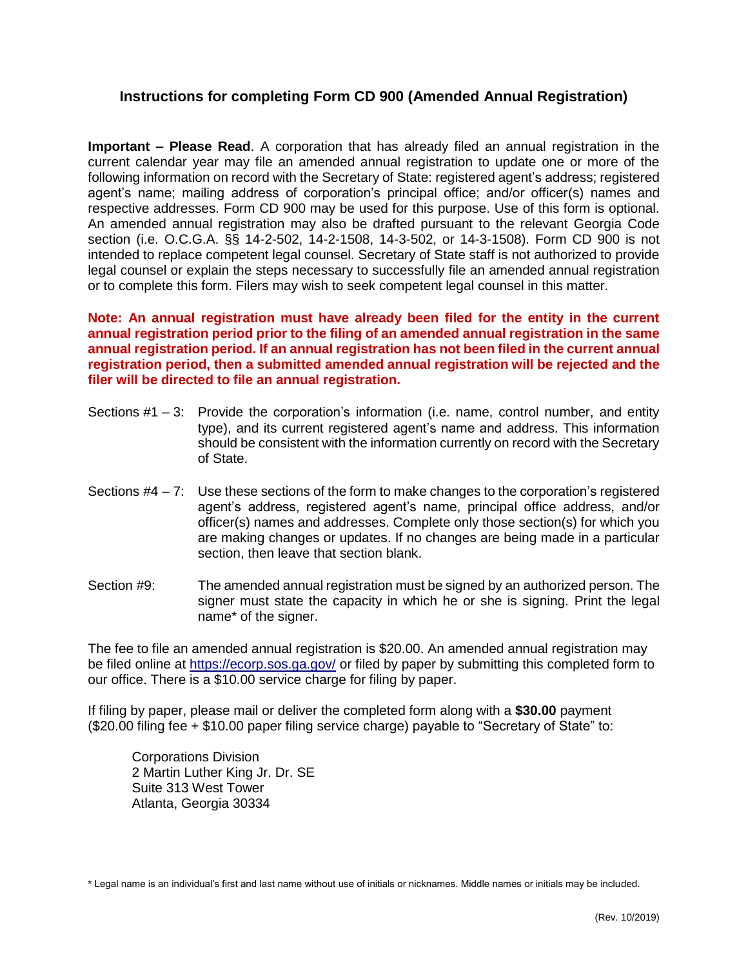## **Instructions for completing Form CD 900 (Amended Annual Registration)**

**Important – Please Read**. A corporation that has already filed an annual registration in the current calendar year may file an amended annual registration to update one or more of the following information on record with the Secretary of State: registered agent's address; registered agent's name; mailing address of corporation's principal office; and/or officer(s) names and respective addresses. Form CD 900 may be used for this purpose. Use of this form is optional. An amended annual registration may also be drafted pursuant to the relevant Georgia Code section (i.e. O.C.G.A. §§ 14-2-502, 14-2-1508, 14-3-502, or 14-3-1508). Form CD 900 is not intended to replace competent legal counsel. Secretary of State staff is not authorized to provide legal counsel or explain the steps necessary to successfully file an amended annual registration or to complete this form. Filers may wish to seek competent legal counsel in this matter.

**Note: An annual registration must have already been filed for the entity in the current annual registration period prior to the filing of an amended annual registration in the same annual registration period. If an annual registration has not been filed in the current annual registration period, then a submitted amended annual registration will be rejected and the filer will be directed to file an annual registration.**

- Sections #1 3: Provide the corporation's information (i.e. name, control number, and entity type), and its current registered agent's name and address. This information should be consistent with the information currently on record with the Secretary of State.
- Sections  $#4 7$ : Use these sections of the form to make changes to the corporation's registered agent's address, registered agent's name, principal office address, and/or officer(s) names and addresses. Complete only those section(s) for which you are making changes or updates. If no changes are being made in a particular section, then leave that section blank.
- Section #9: The amended annual registration must be signed by an authorized person. The signer must state the capacity in which he or she is signing. Print the legal name\* of the signer.

The fee to file an amended annual registration is \$20.00. An amended annual registration may be filed online at<https://ecorp.sos.ga.gov/> or filed by paper by submitting this completed form to our office. There is a \$10.00 service charge for filing by paper.

If filing by paper, please mail or deliver the completed form along with a **\$30.00** payment (\$20.00 filing fee + \$10.00 paper filing service charge) payable to "Secretary of State" to:

Corporations Division 2 Martin Luther King Jr. Dr. SE Suite 313 West Tower Atlanta, Georgia 30334

\* Legal name is an individual's first and last name without use of initials or nicknames. Middle names or initials may be included.